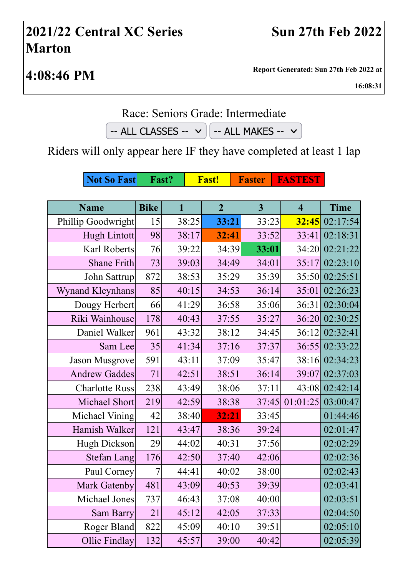## **2021/22 Central XC Series Marton**

**4:08:46 PM Report Generated: Sun 27th Feb 2022 at**

**16:08:31**

## Race: Seniors Grade: Intermediate

 $-$  ALL CLASSES  $\vee$   $\Big|$   $-$  ALL MAKES  $\vee$ 

Riders will only appear here IF they have completed at least 1 lap

| <b>Not So Fast</b>      | Fast?       |              |       | <b>Fast!</b>   |  | <b>Faster</b>  |  | <b>FASTEST</b>          |                  |
|-------------------------|-------------|--------------|-------|----------------|--|----------------|--|-------------------------|------------------|
|                         |             |              |       |                |  |                |  |                         |                  |
| <b>Name</b>             | <b>Bike</b> | $\mathbf{1}$ |       | $\overline{2}$ |  | $\overline{3}$ |  | $\overline{\mathbf{4}}$ | <b>Time</b>      |
| Phillip Goodwright      | 15          |              | 38:25 | 33:21          |  | 33:23          |  |                         | $32:45$ 02:17:54 |
| <b>Hugh Lintott</b>     | 98          |              | 38:17 | 32:41          |  | 33:52          |  | 33:41                   | 02:18:31         |
| Karl Roberts            | 76          |              | 39:22 | 34:39          |  | 33:01          |  | 34:20                   | 02:21:22         |
| <b>Shane Frith</b>      | 73          |              | 39:03 | 34:49          |  | 34:01          |  |                         | 35:17 02:23:10   |
| John Sattrup            | 872         |              | 38:53 | 35:29          |  | 35:39          |  |                         | 35:50 02:25:51   |
| <b>Wynand Kleynhans</b> | 85          |              | 40:15 | 34:53          |  | 36:14          |  | 35:01                   | 02:26:23         |
| Dougy Herbert           | 66          |              | 41:29 | 36:58          |  | 35:06          |  | 36:31                   | 02:30:04         |
| Riki Wainhouse          | 178         |              | 40:43 | 37:55          |  | 35:27          |  |                         | 36:20 02:30:25   |
| Daniel Walker           | 961         |              | 43:32 | 38:12          |  | 34:45          |  | 36:12                   | 02:32:41         |
| Sam Lee                 | 35          |              | 41:34 | 37:16          |  | 37:37          |  |                         | 36:55 02:33:22   |
| <b>Jason Musgrove</b>   | 591         |              | 43:11 | 37:09          |  | 35:47          |  |                         | 38:16 02:34:23   |
| <b>Andrew Gaddes</b>    | 71          |              | 42:51 | 38:51          |  | 36:14          |  | 39:07                   | 02:37:03         |
| <b>Charlotte Russ</b>   | 238         |              | 43:49 | 38:06          |  | 37:11          |  | 43:08                   | 02:42:14         |
| Michael Short           | 219         |              | 42:59 | 38:38          |  | 37:45          |  | 01:01:25                | 03:00:47         |
| Michael Vining          | 42          |              | 38:40 | 32:21          |  | 33:45          |  |                         | 01:44:46         |
| Hamish Walker           | 121         |              | 43:47 | 38:36          |  | 39:24          |  |                         | 02:01:47         |
| <b>Hugh Dickson</b>     | 29          |              | 44:02 | 40:31          |  | 37:56          |  |                         | 02:02:29         |
| <b>Stefan Lang</b>      | 176         |              | 42:50 | 37:40          |  | 42:06          |  |                         | 02:02:36         |
| Paul Corney             | 7           |              | 44:41 | 40:02          |  | 38:00          |  |                         | 02:02:43         |
| <b>Mark Gatenby</b>     | 481         |              | 43:09 | 40:53          |  | 39:39          |  |                         | 02:03:41         |
| Michael Jones           | 737         |              | 46:43 | 37:08          |  | 40:00          |  |                         | 02:03:51         |
| Sam Barry               | 21          |              | 45:12 | 42:05          |  | 37:33          |  |                         | 02:04:50         |
| Roger Bland             | 822         |              | 45:09 | 40:10          |  | 39:51          |  |                         | 02:05:10         |
| Ollie Findlay           | 132         |              | 45:57 | 39:00          |  | 40:42          |  |                         | 02:05:39         |